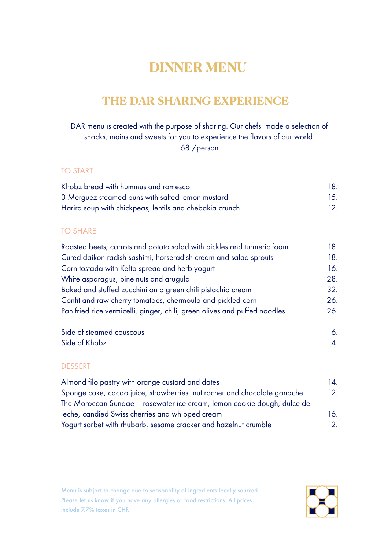# **DINNER MENU**

# **THE DAR SHARING EXPERIENCE**

DAR menu is created with the purpose of sharing. Our chefs made a selection of snacks, mains and sweets for you to experience the flavors of our world. 68./person

### TO START

| Khobz bread with hummus and romesco                     |     |
|---------------------------------------------------------|-----|
| 3 Merguez steamed buns with salted lemon mustard        | 15. |
| Harira soup with chickpeas, lentils and chebakia crunch |     |

## TO SHARE

| Roasted beets, carrots and potato salad with pickles and turmeric foam    | 18. |
|---------------------------------------------------------------------------|-----|
| Cured daikon radish sashimi, horseradish cream and salad sprouts          | 18. |
| Corn tostada with Kefta spread and herb yogurt                            | 16. |
| White asparagus, pine nuts and arugula                                    | 28. |
| Baked and stuffed zucchini on a green chili pistachio cream               | 32. |
| Confit and raw cherry tomatoes, chermoula and pickled corn                | 26. |
| Pan fried rice vermicelli, ginger, chili, green olives and puffed noodles | 26. |
|                                                                           |     |

| Side of steamed couscous |  |
|--------------------------|--|
| Side of Khobz            |  |

## DESSERT

| Almond filo pastry with orange custard and dates                         | 14. |
|--------------------------------------------------------------------------|-----|
| Sponge cake, cacao juice, strawberries, nut rocher and chocolate ganache | 12. |
| The Moroccan Sundae – rosewater ice cream, lemon cookie dough, dulce de  |     |
| leche, candied Swiss cherries and whipped cream                          | 16. |
| Yogurt sorbet with rhubarb, sesame cracker and hazelnut crumble          | 12. |

Menu is subject to change due to seasonality of ingredients locally sourced. Please let us know if you have any allergies or food restrictions. All prices include 7.7% taxes in CHF.